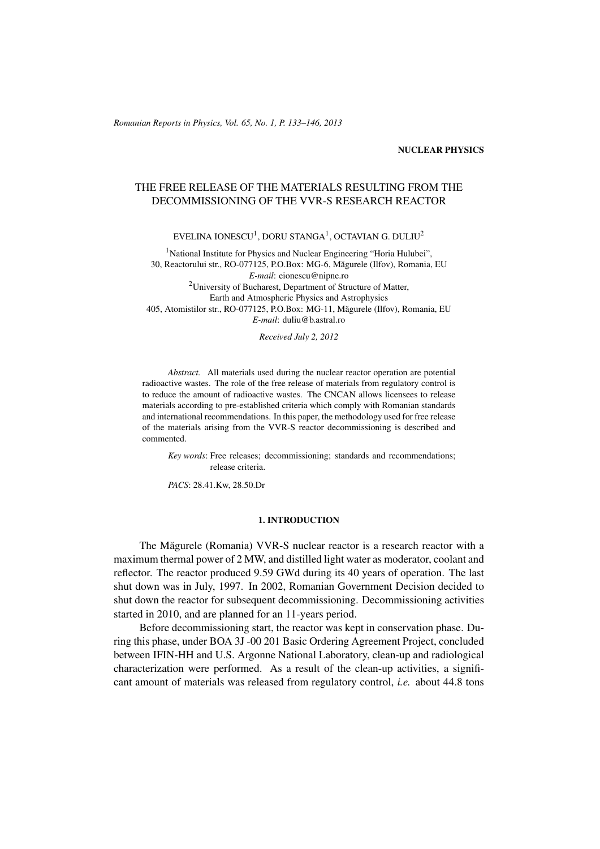#### NUCLEAR PHYSICS

# THE FREE RELEASE OF THE MATERIALS RESULTING FROM THE DECOMMISSIONING OF THE VVR-S RESEARCH REACTOR

EVELINA IONESCU $^1$ , DORU STANGA $^1$ , OCTAVIAN G. DULIU $^2$ 

<sup>1</sup>National Institute for Physics and Nuclear Engineering "Horia Hulubei", 30, Reactorului str., RO-077125, P.O.Box: MG-6, Magurele (Ilfov), Romania, EU ˘ *E-mail*: eionescu@nipne.ro <sup>2</sup>University of Bucharest, Department of Structure of Matter, Earth and Atmospheric Physics and Astrophysics 405, Atomistilor str., RO-077125, P.O.Box: MG-11, Magurele (Ilfov), Romania, EU ˘ *E-mail*: duliu@b.astral.ro

*Received July 2, 2012*

*Abstract.* All materials used during the nuclear reactor operation are potential radioactive wastes. The role of the free release of materials from regulatory control is to reduce the amount of radioactive wastes. The CNCAN allows licensees to release materials according to pre-established criteria which comply with Romanian standards and international recommendations. In this paper, the methodology used for free release of the materials arising from the VVR-S reactor decommissioning is described and commented.

*Key words*: Free releases; decommissioning; standards and recommendations; release criteria.

*PACS*: 28.41.Kw, 28.50.Dr

#### 1. INTRODUCTION

The Măgurele (Romania) VVR-S nuclear reactor is a research reactor with a maximum thermal power of 2 MW, and distilled light water as moderator, coolant and reflector. The reactor produced 9.59 GWd during its 40 years of operation. The last shut down was in July, 1997. In 2002, Romanian Government Decision decided to shut down the reactor for subsequent decommissioning. Decommissioning activities started in 2010, and are planned for an 11-years period.

Before decommissioning start, the reactor was kept in conservation phase. During this phase, under BOA 3J -00 201 Basic Ordering Agreement Project, concluded between IFIN-HH and U.S. Argonne National Laboratory, clean-up and radiological characterization were performed. As a result of the clean-up activities, a significant amount of materials was released from regulatory control, *i.e.* about 44.8 tons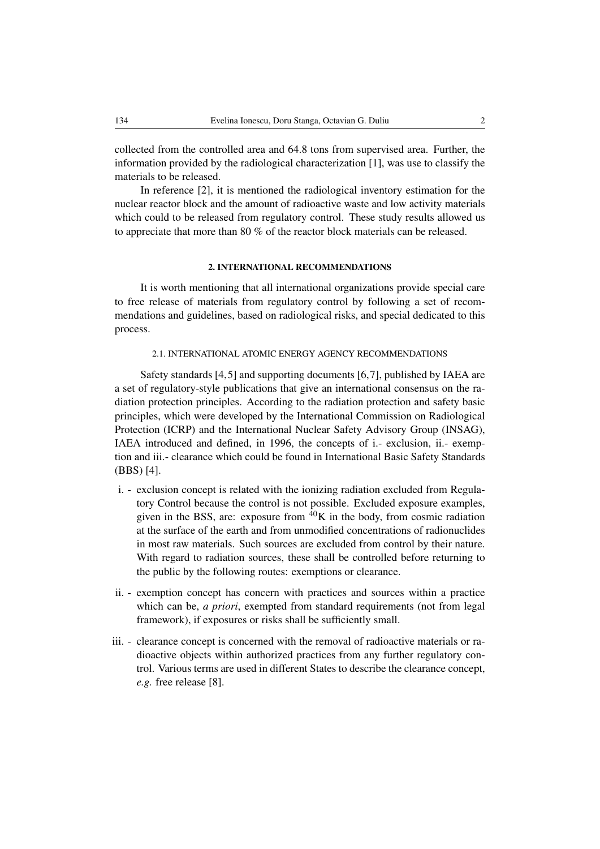collected from the controlled area and 64.8 tons from supervised area. Further, the information provided by the radiological characterization [1], was use to classify the materials to be released.

In reference [2], it is mentioned the radiological inventory estimation for the nuclear reactor block and the amount of radioactive waste and low activity materials which could to be released from regulatory control. These study results allowed us to appreciate that more than 80 % of the reactor block materials can be released.

#### 2. INTERNATIONAL RECOMMENDATIONS

It is worth mentioning that all international organizations provide special care to free release of materials from regulatory control by following a set of recommendations and guidelines, based on radiological risks, and special dedicated to this process.

### 2.1. INTERNATIONAL ATOMIC ENERGY AGENCY RECOMMENDATIONS

Safety standards [4,5] and supporting documents [6,7], published by IAEA are a set of regulatory-style publications that give an international consensus on the radiation protection principles. According to the radiation protection and safety basic principles, which were developed by the International Commission on Radiological Protection (ICRP) and the International Nuclear Safety Advisory Group (INSAG), IAEA introduced and defined, in 1996, the concepts of i.- exclusion, ii.- exemption and iii.- clearance which could be found in International Basic Safety Standards (BBS) [4].

- i. exclusion concept is related with the ionizing radiation excluded from Regulatory Control because the control is not possible. Excluded exposure examples, given in the BSS, are: exposure from  ${}^{40}$ K in the body, from cosmic radiation at the surface of the earth and from unmodified concentrations of radionuclides in most raw materials. Such sources are excluded from control by their nature. With regard to radiation sources, these shall be controlled before returning to the public by the following routes: exemptions or clearance.
- ii. exemption concept has concern with practices and sources within a practice which can be, *a priori*, exempted from standard requirements (not from legal framework), if exposures or risks shall be sufficiently small.
- iii. clearance concept is concerned with the removal of radioactive materials or radioactive objects within authorized practices from any further regulatory control. Various terms are used in different States to describe the clearance concept, *e.g.* free release [8].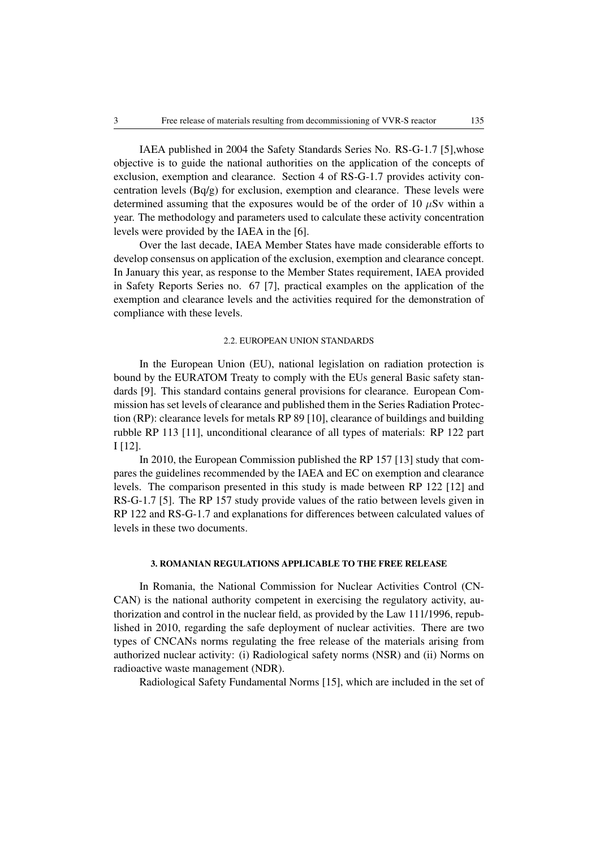IAEA published in 2004 the Safety Standards Series No. RS-G-1.7 [5],whose objective is to guide the national authorities on the application of the concepts of exclusion, exemption and clearance. Section 4 of RS-G-1.7 provides activity concentration levels (Bq/g) for exclusion, exemption and clearance. These levels were determined assuming that the exposures would be of the order of 10  $\mu$ Sv within a year. The methodology and parameters used to calculate these activity concentration levels were provided by the IAEA in the [6].

Over the last decade, IAEA Member States have made considerable efforts to develop consensus on application of the exclusion, exemption and clearance concept. In January this year, as response to the Member States requirement, IAEA provided in Safety Reports Series no. 67 [7], practical examples on the application of the exemption and clearance levels and the activities required for the demonstration of compliance with these levels.

### 2.2. EUROPEAN UNION STANDARDS

In the European Union (EU), national legislation on radiation protection is bound by the EURATOM Treaty to comply with the EUs general Basic safety standards [9]. This standard contains general provisions for clearance. European Commission has set levels of clearance and published them in the Series Radiation Protection (RP): clearance levels for metals RP 89 [10], clearance of buildings and building rubble RP 113 [11], unconditional clearance of all types of materials: RP 122 part I [12].

In 2010, the European Commission published the RP 157 [13] study that compares the guidelines recommended by the IAEA and EC on exemption and clearance levels. The comparison presented in this study is made between RP 122 [12] and RS-G-1.7 [5]. The RP 157 study provide values of the ratio between levels given in RP 122 and RS-G-1.7 and explanations for differences between calculated values of levels in these two documents.

#### 3. ROMANIAN REGULATIONS APPLICABLE TO THE FREE RELEASE

In Romania, the National Commission for Nuclear Activities Control (CN-CAN) is the national authority competent in exercising the regulatory activity, authorization and control in the nuclear field, as provided by the Law 111/1996, republished in 2010, regarding the safe deployment of nuclear activities. There are two types of CNCANs norms regulating the free release of the materials arising from authorized nuclear activity: (i) Radiological safety norms (NSR) and (ii) Norms on radioactive waste management (NDR).

Radiological Safety Fundamental Norms [15], which are included in the set of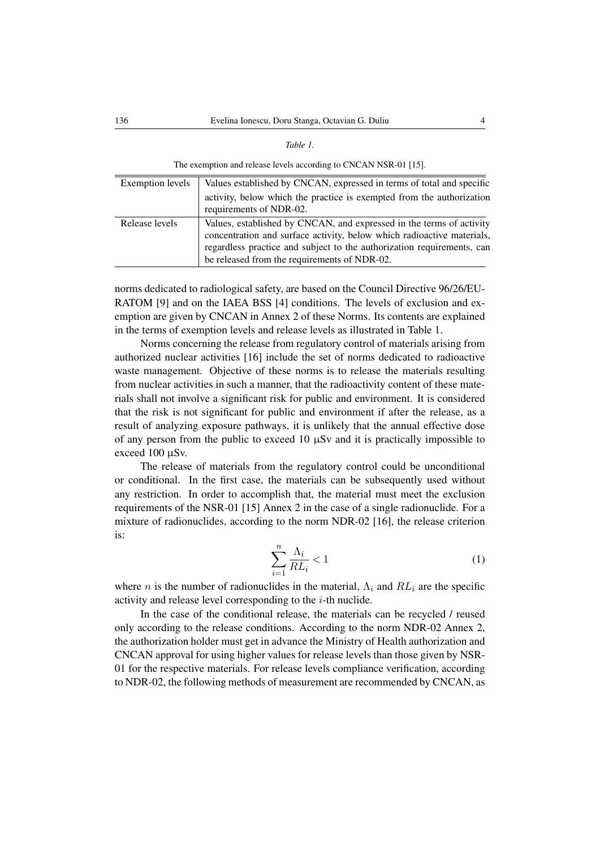| ,<br>r<br>л<br>" |
|------------------|
|------------------|

The exemption and release levels according to CNCAN NSR-01 [15].

| Exemption levels | Values established by CNCAN, expressed in terms of total and specific                                                                                                                                                                                                    |  |
|------------------|--------------------------------------------------------------------------------------------------------------------------------------------------------------------------------------------------------------------------------------------------------------------------|--|
|                  | activity, below which the practice is exempted from the authorization<br>requirements of NDR-02.                                                                                                                                                                         |  |
| Release levels   | Values, established by CNCAN, and expressed in the terms of activity<br>concentration and surface activity, below which radioactive materials,<br>regardless practice and subject to the authorization requirements, can<br>be released from the requirements of NDR-02. |  |

norms dedicated to radiological safety, are based on the Council Directive 96/26/EU-RATOM [9] and on the IAEA BSS [4] conditions. The levels of exclusion and exemption are given by CNCAN in Annex 2 of these Norms. Its contents are explained in the terms of exemption levels and release levels as illustrated in Table 1.

Norms concerning the release from regulatory control of materials arising from authorized nuclear activities [16] include the set of norms dedicated to radioactive waste management. Objective of these norms is to release the materials resulting from nuclear activities in such a manner, that the radioactivity content of these materials shall not involve a significant risk for public and environment. It is considered that the risk is not significant for public and environment if after the release, as a result of analyzing exposure pathways, it is unlikely that the annual effective dose of any person from the public to exceed 10  $\mu$ Sv and it is practically impossible to exceed 100 µSv.

The release of materials from the regulatory control could be unconditional or conditional. In the first case, the materials can be subsequently used without any restriction. In order to accomplish that, the material must meet the exclusion requirements of the NSR-01 [15] Annex 2 in the case of a single radionuclide. For a mixture of radionuclides, according to the norm NDR-02 [16], the release criterion is:

$$
\sum_{i=1}^{n} \frac{\Lambda_i}{RL_i} < 1\tag{1}
$$

where *n* is the number of radionuclides in the material,  $\Lambda_i$  and  $RL_i$  are the specific activity and release level corresponding to the  $i$ -th nuclide.

In the case of the conditional release, the materials can be recycled / reused only according to the release conditions. According to the norm NDR-02 Annex 2, the authorization holder must get in advance the Ministry of Health authorization and CNCAN approval for using higher values for release levels than those given by NSR-01 for the respective materials. For release levels compliance verification, according to NDR-02, the following methods of measurement are recommended by CNCAN, as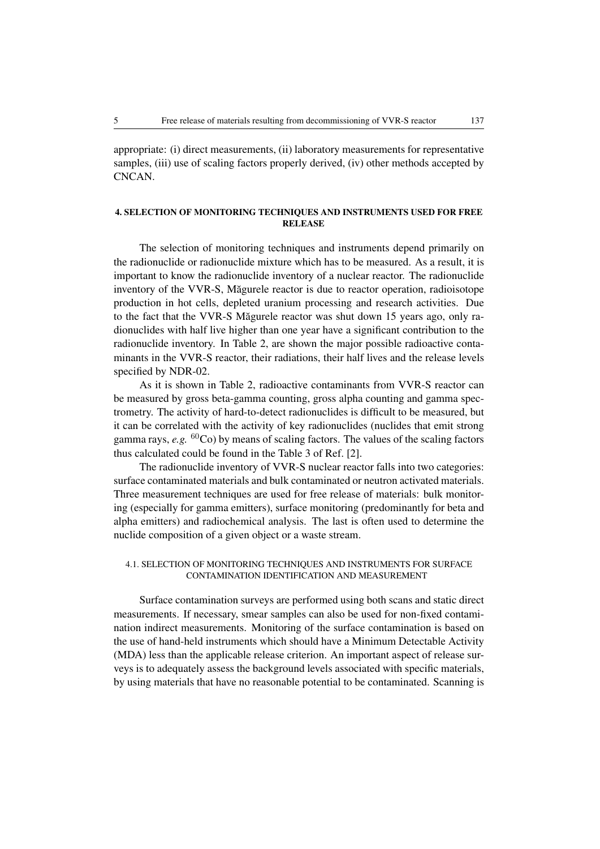appropriate: (i) direct measurements, (ii) laboratory measurements for representative samples, (iii) use of scaling factors properly derived, (iv) other methods accepted by CNCAN.

# 4. SELECTION OF MONITORING TECHNIQUES AND INSTRUMENTS USED FOR FREE RELEASE

The selection of monitoring techniques and instruments depend primarily on the radionuclide or radionuclide mixture which has to be measured. As a result, it is important to know the radionuclide inventory of a nuclear reactor. The radionuclide inventory of the VVR-S, Măgurele reactor is due to reactor operation, radioisotope production in hot cells, depleted uranium processing and research activities. Due to the fact that the VVR-S Măgurele reactor was shut down 15 years ago, only radionuclides with half live higher than one year have a significant contribution to the radionuclide inventory. In Table 2, are shown the major possible radioactive contaminants in the VVR-S reactor, their radiations, their half lives and the release levels specified by NDR-02.

As it is shown in Table 2, radioactive contaminants from VVR-S reactor can be measured by gross beta-gamma counting, gross alpha counting and gamma spectrometry. The activity of hard-to-detect radionuclides is difficult to be measured, but it can be correlated with the activity of key radionuclides (nuclides that emit strong gamma rays,  $e.g.$  <sup>60</sup>Co) by means of scaling factors. The values of the scaling factors thus calculated could be found in the Table 3 of Ref. [2].

The radionuclide inventory of VVR-S nuclear reactor falls into two categories: surface contaminated materials and bulk contaminated or neutron activated materials. Three measurement techniques are used for free release of materials: bulk monitoring (especially for gamma emitters), surface monitoring (predominantly for beta and alpha emitters) and radiochemical analysis. The last is often used to determine the nuclide composition of a given object or a waste stream.

### 4.1. SELECTION OF MONITORING TECHNIQUES AND INSTRUMENTS FOR SURFACE CONTAMINATION IDENTIFICATION AND MEASUREMENT

Surface contamination surveys are performed using both scans and static direct measurements. If necessary, smear samples can also be used for non-fixed contamination indirect measurements. Monitoring of the surface contamination is based on the use of hand-held instruments which should have a Minimum Detectable Activity (MDA) less than the applicable release criterion. An important aspect of release surveys is to adequately assess the background levels associated with specific materials, by using materials that have no reasonable potential to be contaminated. Scanning is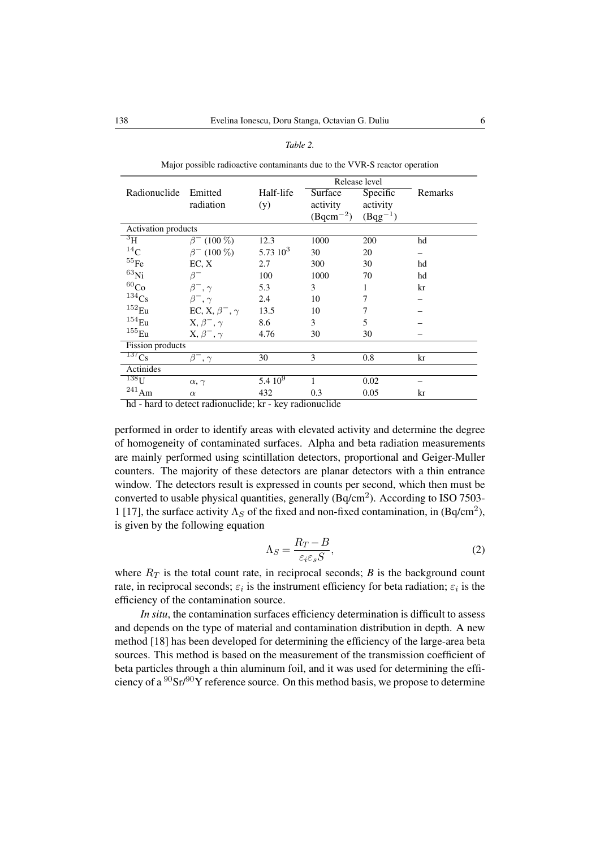Major possible radioactive contaminants due to the VVR-S reactor operation

| Remarks                                     |  |  |  |  |  |  |  |
|---------------------------------------------|--|--|--|--|--|--|--|
|                                             |  |  |  |  |  |  |  |
|                                             |  |  |  |  |  |  |  |
| Activation products<br>$\overline{\rm ^3H}$ |  |  |  |  |  |  |  |
|                                             |  |  |  |  |  |  |  |
|                                             |  |  |  |  |  |  |  |
|                                             |  |  |  |  |  |  |  |
|                                             |  |  |  |  |  |  |  |
|                                             |  |  |  |  |  |  |  |
|                                             |  |  |  |  |  |  |  |
|                                             |  |  |  |  |  |  |  |
|                                             |  |  |  |  |  |  |  |
|                                             |  |  |  |  |  |  |  |
| <b>Fission</b> products<br>$^{137}Cs$       |  |  |  |  |  |  |  |
|                                             |  |  |  |  |  |  |  |
| Actinides<br>$^{138}\!\mathrm{U}$           |  |  |  |  |  |  |  |
|                                             |  |  |  |  |  |  |  |
|                                             |  |  |  |  |  |  |  |
|                                             |  |  |  |  |  |  |  |

hd - hard to detect radionuclide; kr - key radionuclide

performed in order to identify areas with elevated activity and determine the degree of homogeneity of contaminated surfaces. Alpha and beta radiation measurements are mainly performed using scintillation detectors, proportional and Geiger-Muller counters. The majority of these detectors are planar detectors with a thin entrance window. The detectors result is expressed in counts per second, which then must be converted to usable physical quantities, generally (Bq/cm<sup>2</sup>). According to ISO 7503-1 [17], the surface activity  $\Lambda_S$  of the fixed and non-fixed contamination, in (Bq/cm<sup>2</sup>), is given by the following equation

$$
\Lambda_S = \frac{R_T - B}{\varepsilon_i \varepsilon_s S},\tag{2}
$$

where  $R_T$  is the total count rate, in reciprocal seconds; *B* is the background count rate, in reciprocal seconds;  $\varepsilon_i$  is the instrument efficiency for beta radiation;  $\varepsilon_i$  is the efficiency of the contamination source.

*In situ*, the contamination surfaces efficiency determination is difficult to assess and depends on the type of material and contamination distribution in depth. A new method [18] has been developed for determining the efficiency of the large-area beta sources. This method is based on the measurement of the transmission coefficient of beta particles through a thin aluminum foil, and it was used for determining the efficiency of a  $\frac{90}{ST}$  reference source. On this method basis, we propose to determine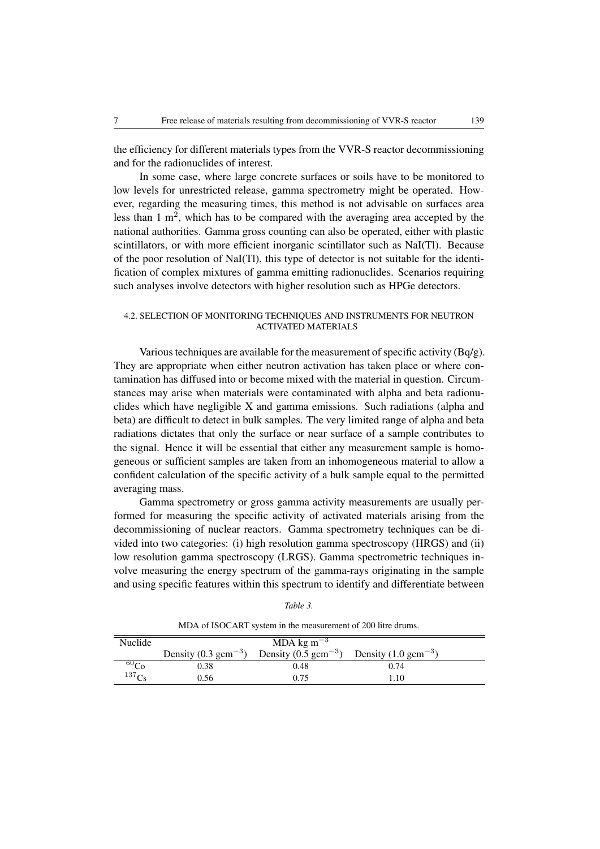the efficiency for different materials types from the VVR-S reactor decommissioning and for the radionuclides of interest.

In some case, where large concrete surfaces or soils have to be monitored to low levels for unrestricted release, gamma spectrometry might be operated. However, regarding the measuring times, this method is not advisable on surfaces area less than  $1 \text{ m}^2$ , which has to be compared with the averaging area accepted by the national authorities. Gamma gross counting can also be operated, either with plastic scintillators, or with more efficient inorganic scintillator such as NaI(Tl). Because of the poor resolution of NaI(Tl), this type of detector is not suitable for the identification of complex mixtures of gamma emitting radionuclides. Scenarios requiring such analyses involve detectors with higher resolution such as HPGe detectors.

## 4.2. SELECTION OF MONITORING TECHNIQUES AND INSTRUMENTS FOR NEUTRON ACTIVATED MATERIALS

Various techniques are available for the measurement of specific activity (Bq/g). They are appropriate when either neutron activation has taken place or where contamination has diffused into or become mixed with the material in question. Circumstances may arise when materials were contaminated with alpha and beta radionuclides which have negligible X and gamma emissions. Such radiations (alpha and beta) are difficult to detect in bulk samples. The very limited range of alpha and beta radiations dictates that only the surface or near surface of a sample contributes to the signal. Hence it will be essential that either any measurement sample is homogeneous or sufficient samples are taken from an inhomogeneous material to allow a confident calculation of the specific activity of a bulk sample equal to the permitted averaging mass.

Gamma spectrometry or gross gamma activity measurements are usually performed for measuring the specific activity of activated materials arising from the decommissioning of nuclear reactors. Gamma spectrometry techniques can be divided into two categories: (i) high resolution gamma spectroscopy (HRGS) and (ii) low resolution gamma spectroscopy (LRGS). Gamma spectrometric techniques involve measuring the energy spectrum of the gamma-rays originating in the sample and using specific features within this spectrum to identify and differentiate between

| Nuclide           | MDA kg m <sup><math>-3</math></sup> |                                  |                                  |  |  |
|-------------------|-------------------------------------|----------------------------------|----------------------------------|--|--|
|                   | Density $(0.3 \text{ gcm}^{-3})$    | Density $(0.5 \text{ gcm}^{-3})$ | Density $(1.0 \text{ gcm}^{-3})$ |  |  |
| 60C <sub>c</sub>  | 0.38                                | 0.48                             | 0.74                             |  |  |
| 137C <sub>c</sub> | 0.56                                | 0.75                             | 1.10                             |  |  |

MDA of ISOCART system in the measurement of 200 litre drums.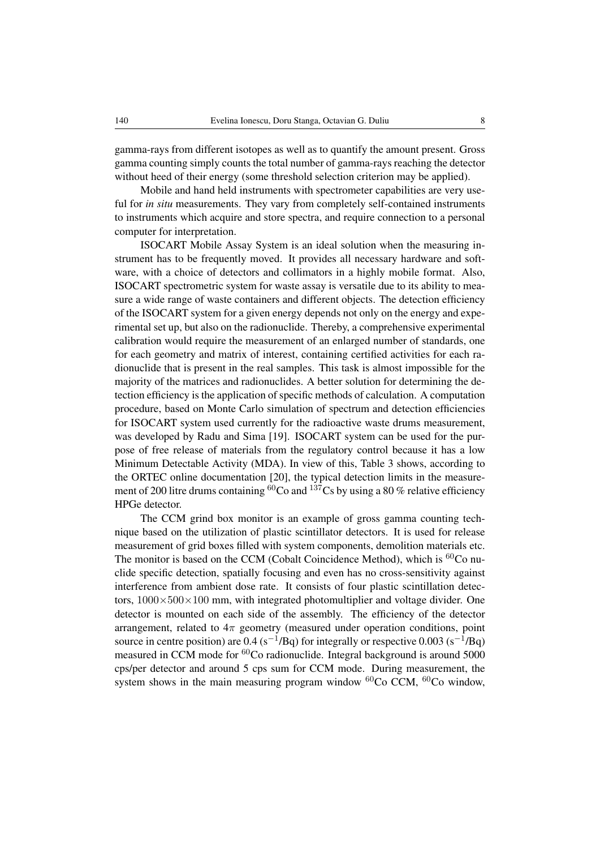gamma-rays from different isotopes as well as to quantify the amount present. Gross gamma counting simply counts the total number of gamma-rays reaching the detector without heed of their energy (some threshold selection criterion may be applied).

Mobile and hand held instruments with spectrometer capabilities are very useful for *in situ* measurements. They vary from completely self-contained instruments to instruments which acquire and store spectra, and require connection to a personal computer for interpretation.

ISOCART Mobile Assay System is an ideal solution when the measuring instrument has to be frequently moved. It provides all necessary hardware and software, with a choice of detectors and collimators in a highly mobile format. Also, ISOCART spectrometric system for waste assay is versatile due to its ability to measure a wide range of waste containers and different objects. The detection efficiency of the ISOCART system for a given energy depends not only on the energy and experimental set up, but also on the radionuclide. Thereby, a comprehensive experimental calibration would require the measurement of an enlarged number of standards, one for each geometry and matrix of interest, containing certified activities for each radionuclide that is present in the real samples. This task is almost impossible for the majority of the matrices and radionuclides. A better solution for determining the detection efficiency is the application of specific methods of calculation. A computation procedure, based on Monte Carlo simulation of spectrum and detection efficiencies for ISOCART system used currently for the radioactive waste drums measurement, was developed by Radu and Sima [19]. ISOCART system can be used for the purpose of free release of materials from the regulatory control because it has a low Minimum Detectable Activity (MDA). In view of this, Table 3 shows, according to the ORTEC online documentation [20], the typical detection limits in the measurement of 200 litre drums containing  ${}^{60}Co$  and  ${}^{137}Cs$  by using a 80 % relative efficiency HPGe detector.

The CCM grind box monitor is an example of gross gamma counting technique based on the utilization of plastic scintillator detectors. It is used for release measurement of grid boxes filled with system components, demolition materials etc. The monitor is based on the CCM (Cobalt Coincidence Method), which is  ${}^{60}$ Co nuclide specific detection, spatially focusing and even has no cross-sensitivity against interference from ambient dose rate. It consists of four plastic scintillation detectors,  $1000\times500\times100$  mm, with integrated photomultiplier and voltage divider. One detector is mounted on each side of the assembly. The efficiency of the detector arrangement, related to  $4\pi$  geometry (measured under operation conditions, point source in centre position) are 0.4 (s<sup>-1</sup>/Bq) for integrally or respective 0.003 (s<sup>-1</sup>/Bq) measured in CCM mode for <sup>60</sup>Co radionuclide. Integral background is around 5000 cps/per detector and around 5 cps sum for CCM mode. During measurement, the system shows in the main measuring program window  ${}^{60}Co$  CCM,  ${}^{60}Co$  window,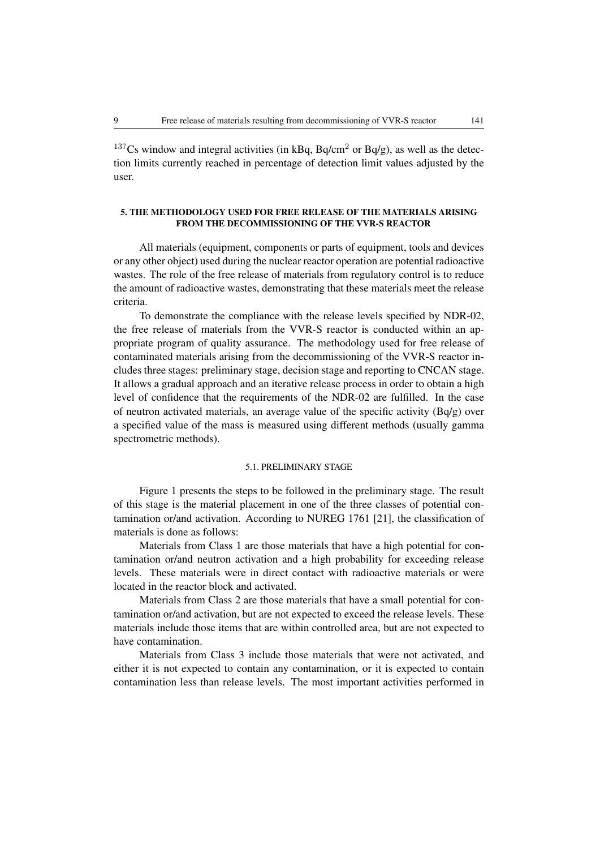$137Cs$  window and integral activities (in kBq, Bq/cm<sup>2</sup> or Bq/g), as well as the detection limits currently reached in percentage of detection limit values adjusted by the user.

### 5. THE METHODOLOGY USED FOR FREE RELEASE OF THE MATERIALS ARISING FROM THE DECOMMISSIONING OF THE VVR-S REACTOR

All materials (equipment, components or parts of equipment, tools and devices or any other object) used during the nuclear reactor operation are potential radioactive wastes. The role of the free release of materials from regulatory control is to reduce the amount of radioactive wastes, demonstrating that these materials meet the release criteria.

To demonstrate the compliance with the release levels specified by NDR-02, the free release of materials from the VVR-S reactor is conducted within an appropriate program of quality assurance. The methodology used for free release of contaminated materials arising from the decommissioning of the VVR-S reactor includes three stages: preliminary stage, decision stage and reporting to CNCAN stage. It allows a gradual approach and an iterative release process in order to obtain a high level of confidence that the requirements of the NDR-02 are fulfilled. In the case of neutron activated materials, an average value of the specific activity (Bq/g) over a specified value of the mass is measured using different methods (usually gamma spectrometric methods).

#### 5.1. PRELIMINARY STAGE

Figure 1 presents the steps to be followed in the preliminary stage. The result of this stage is the material placement in one of the three classes of potential contamination or/and activation. According to NUREG 1761 [21], the classification of materials is done as follows:

Materials from Class 1 are those materials that have a high potential for contamination or/and neutron activation and a high probability for exceeding release levels. These materials were in direct contact with radioactive materials or were located in the reactor block and activated.

Materials from Class 2 are those materials that have a small potential for contamination or/and activation, but are not expected to exceed the release levels. These materials include those items that are within controlled area, but are not expected to have contamination.

Materials from Class 3 include those materials that were not activated, and either it is not expected to contain any contamination, or it is expected to contain contamination less than release levels. The most important activities performed in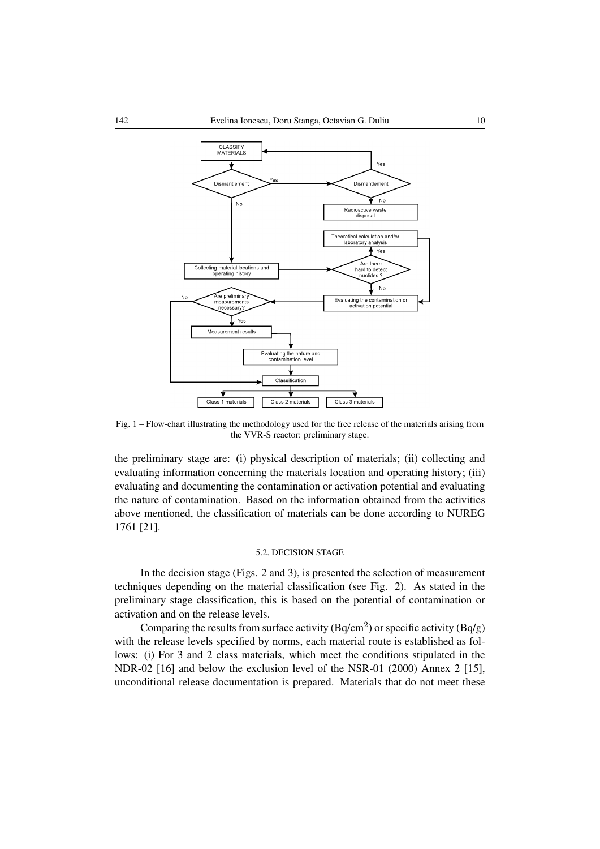

Fig. 1 – Flow-chart illustrating the methodology used for the free release of the materials arising from the VVR-S reactor: preliminary stage.

the preliminary stage are: (i) physical description of materials; (ii) collecting and evaluating information concerning the materials location and operating history; (iii) evaluating and documenting the contamination or activation potential and evaluating the nature of contamination. Based on the information obtained from the activities above mentioned, the classification of materials can be done according to NUREG 1761 [21].

### 5.2. DECISION STAGE

In the decision stage (Figs. 2 and 3), is presented the selection of measurement techniques depending on the material classification (see Fig. 2). As stated in the preliminary stage classification, this is based on the potential of contamination or activation and on the release levels.

Comparing the results from surface activity (Bq/cm<sup>2</sup>) or specific activity (Bq/g) with the release levels specified by norms, each material route is established as follows: (i) For 3 and 2 class materials, which meet the conditions stipulated in the NDR-02 [16] and below the exclusion level of the NSR-01 (2000) Annex 2 [15], unconditional release documentation is prepared. Materials that do not meet these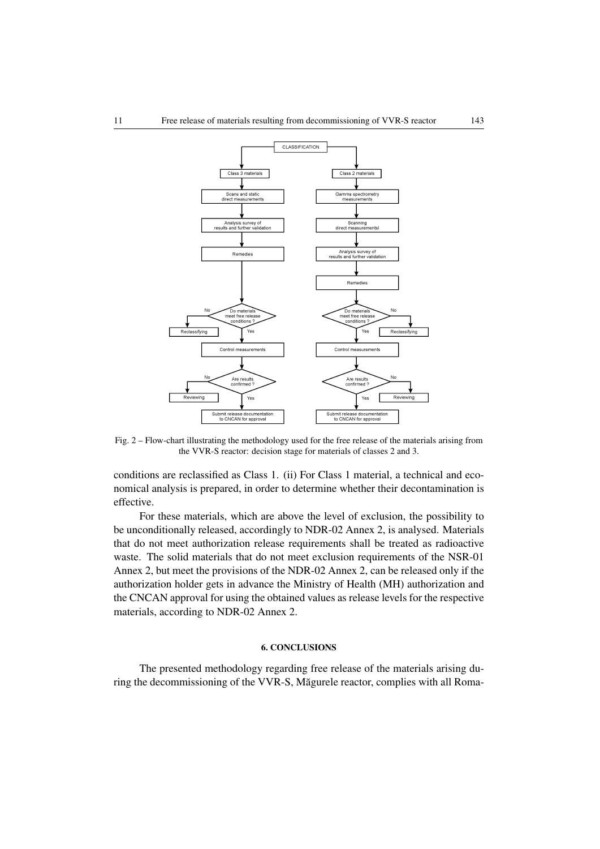

Fig. 2 – Flow-chart illustrating the methodology used for the free release of the materials arising from the VVR-S reactor: decision stage for materials of classes 2 and 3.

conditions are reclassified as Class 1. (ii) For Class 1 material, a technical and economical analysis is prepared, in order to determine whether their decontamination is effective.

For these materials, which are above the level of exclusion, the possibility to be unconditionally released, accordingly to NDR-02 Annex 2, is analysed. Materials that do not meet authorization release requirements shall be treated as radioactive waste. The solid materials that do not meet exclusion requirements of the NSR-01 Annex 2, but meet the provisions of the NDR-02 Annex 2, can be released only if the authorization holder gets in advance the Ministry of Health (MH) authorization and the CNCAN approval for using the obtained values as release levels for the respective materials, according to NDR-02 Annex 2.

#### 6. CONCLUSIONS

The presented methodology regarding free release of the materials arising during the decommissioning of the VVR-S, Măgurele reactor, complies with all Roma-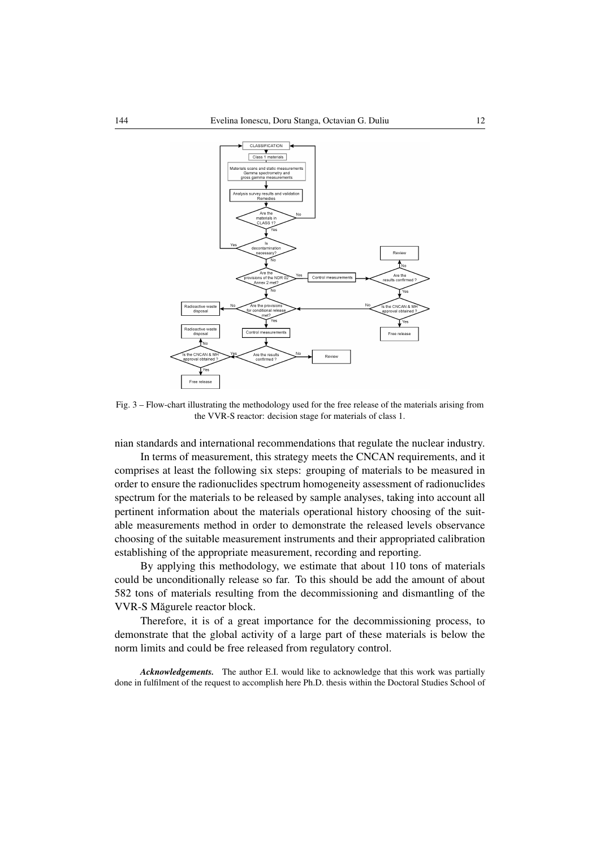

Fig. 3 – Flow-chart illustrating the methodology used for the free release of the materials arising from the VVR-S reactor: decision stage for materials of class 1.

nian standards and international recommendations that regulate the nuclear industry.

In terms of measurement, this strategy meets the CNCAN requirements, and it comprises at least the following six steps: grouping of materials to be measured in order to ensure the radionuclides spectrum homogeneity assessment of radionuclides spectrum for the materials to be released by sample analyses, taking into account all pertinent information about the materials operational history choosing of the suitable measurements method in order to demonstrate the released levels observance choosing of the suitable measurement instruments and their appropriated calibration establishing of the appropriate measurement, recording and reporting.

By applying this methodology, we estimate that about 110 tons of materials could be unconditionally release so far. To this should be add the amount of about 582 tons of materials resulting from the decommissioning and dismantling of the VVR-S Măgurele reactor block.

Therefore, it is of a great importance for the decommissioning process, to demonstrate that the global activity of a large part of these materials is below the norm limits and could be free released from regulatory control.

*Acknowledgements.* The author E.I. would like to acknowledge that this work was partially done in fulfilment of the request to accomplish here Ph.D. thesis within the Doctoral Studies School of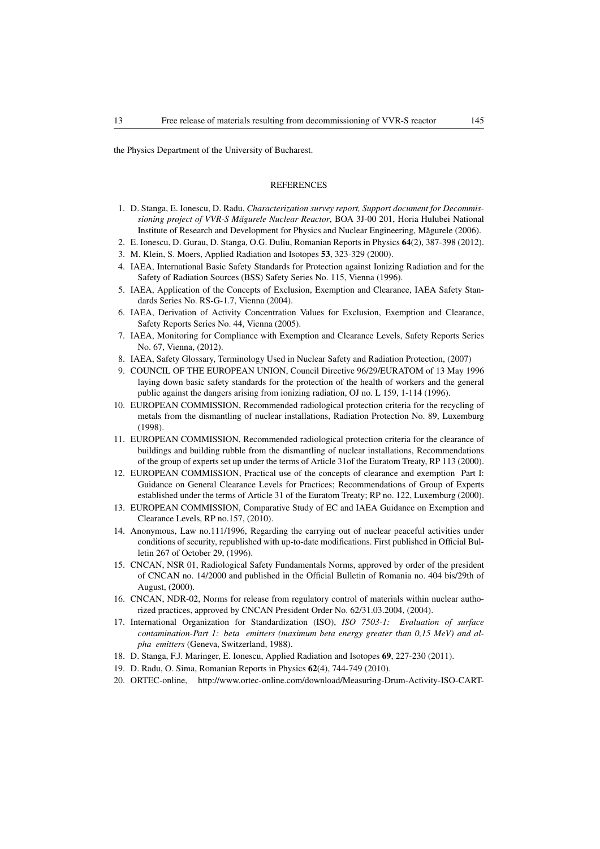the Physics Department of the University of Bucharest.

#### **REFERENCES**

- 1. D. Stanga, E. Ionescu, D. Radu, *Characterization survey report, Support document for Decommissioning project of VVR-S Magurele Nuclear Reactor ˘* , BOA 3J-00 201, Horia Hulubei National Institute of Research and Development for Physics and Nuclear Engineering, Măgurele (2006).
- 2. E. Ionescu, D. Gurau, D. Stanga, O.G. Duliu, Romanian Reports in Physics 64(2), 387-398 (2012).
- 3. M. Klein, S. Moers, Applied Radiation and Isotopes 53, 323-329 (2000).
- 4. IAEA, International Basic Safety Standards for Protection against Ionizing Radiation and for the Safety of Radiation Sources (BSS) Safety Series No. 115, Vienna (1996).
- 5. IAEA, Application of the Concepts of Exclusion, Exemption and Clearance, IAEA Safety Standards Series No. RS-G-1.7, Vienna (2004).
- 6. IAEA, Derivation of Activity Concentration Values for Exclusion, Exemption and Clearance, Safety Reports Series No. 44, Vienna (2005).
- 7. IAEA, Monitoring for Compliance with Exemption and Clearance Levels, Safety Reports Series No. 67, Vienna, (2012).
- 8. IAEA, Safety Glossary, Terminology Used in Nuclear Safety and Radiation Protection, (2007)
- 9. COUNCIL OF THE EUROPEAN UNION, Council Directive 96/29/EURATOM of 13 May 1996 laying down basic safety standards for the protection of the health of workers and the general public against the dangers arising from ionizing radiation, OJ no. L 159, 1-114 (1996).
- 10. EUROPEAN COMMISSION, Recommended radiological protection criteria for the recycling of metals from the dismantling of nuclear installations, Radiation Protection No. 89, Luxemburg (1998).
- 11. EUROPEAN COMMISSION, Recommended radiological protection criteria for the clearance of buildings and building rubble from the dismantling of nuclear installations, Recommendations of the group of experts set up under the terms of Article 31of the Euratom Treaty, RP 113 (2000).
- 12. EUROPEAN COMMISSION, Practical use of the concepts of clearance and exemption Part I: Guidance on General Clearance Levels for Practices; Recommendations of Group of Experts established under the terms of Article 31 of the Euratom Treaty; RP no. 122, Luxemburg (2000).
- 13. EUROPEAN COMMISSION, Comparative Study of EC and IAEA Guidance on Exemption and Clearance Levels, RP no.157, (2010).
- 14. Anonymous, Law no.111/1996, Regarding the carrying out of nuclear peaceful activities under conditions of security, republished with up-to-date modifications. First published in Official Bulletin 267 of October 29, (1996).
- 15. CNCAN, NSR 01, Radiological Safety Fundamentals Norms, approved by order of the president of CNCAN no. 14/2000 and published in the Official Bulletin of Romania no. 404 bis/29th of August, (2000).
- 16. CNCAN, NDR-02, Norms for release from regulatory control of materials within nuclear authorized practices, approved by CNCAN President Order No. 62/31.03.2004, (2004).
- 17. International Organization for Standardization (ISO), *ISO 7503-1: Evaluation of surface contamination-Part 1: beta emitters (maximum beta energy greater than 0,15 MeV) and alpha emitters* (Geneva, Switzerland, 1988).
- 18. D. Stanga, F.J. Maringer, E. Ionescu, Applied Radiation and Isotopes 69, 227-230 (2011).
- 19. D. Radu, O. Sima, Romanian Reports in Physics 62(4), 744-749 (2010).
- 20. ORTEC-online, http://www.ortec-online.com/download/Measuring-Drum-Activity-ISO-CART-